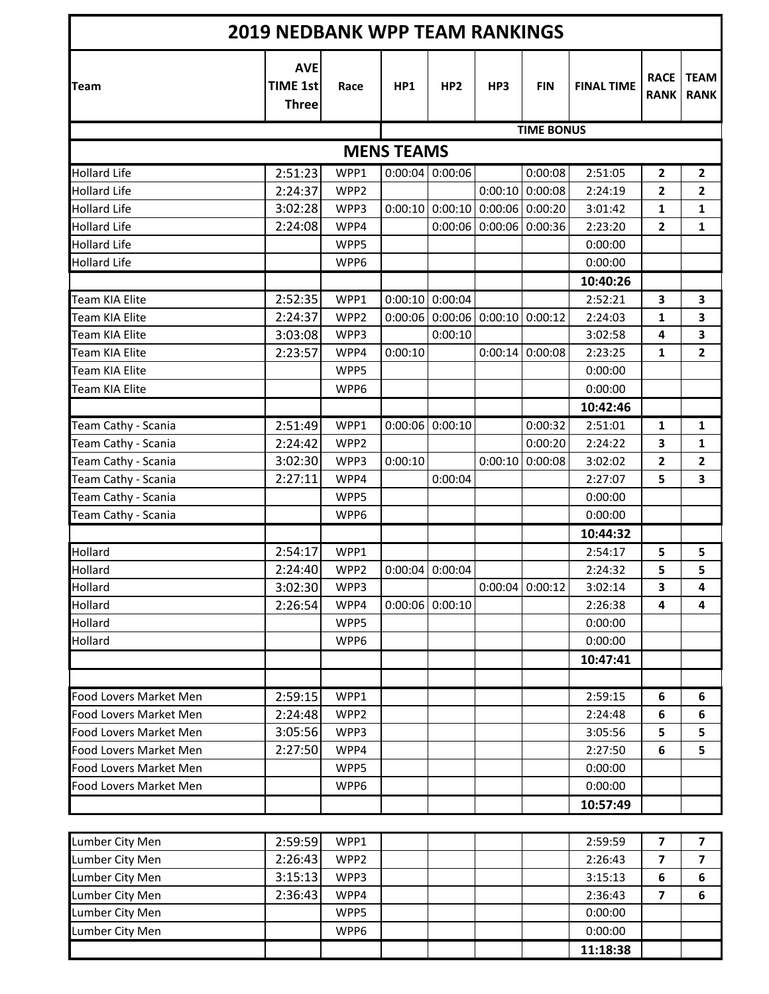| <b>2019 NEDBANK WPP TEAM RANKINGS</b> |                                               |                  |         |                   |                                   |                   |                   |                            |                            |  |  |
|---------------------------------------|-----------------------------------------------|------------------|---------|-------------------|-----------------------------------|-------------------|-------------------|----------------------------|----------------------------|--|--|
| <b>Team</b>                           | <b>AVE</b><br><b>TIME 1st</b><br><b>Three</b> | Race             | HP1     | HP <sub>2</sub>   | HP3                               | <b>FIN</b>        | <b>FINAL TIME</b> | <b>RACE</b><br><b>RANK</b> | <b>TEAM</b><br><b>RANK</b> |  |  |
|                                       |                                               |                  |         |                   |                                   | <b>TIME BONUS</b> |                   |                            |                            |  |  |
| <b>MENS TEAMS</b>                     |                                               |                  |         |                   |                                   |                   |                   |                            |                            |  |  |
| <b>Hollard Life</b>                   | 2:51:23                                       | WPP1             |         | $0:00:04$ 0:00:06 |                                   | 0:00:08           | 2:51:05           | $\overline{\mathbf{2}}$    | $\mathbf{2}$               |  |  |
| <b>Hollard Life</b>                   | 2:24:37                                       | WPP2             |         |                   | 0:00:10                           | 0:00:08           | 2:24:19           | $\mathbf{2}$               | $\mathbf{2}$               |  |  |
| <b>Hollard Life</b>                   | 3:02:28                                       | WPP3             |         |                   | $0:00:10$ 0:00:10 0:00:06 0:00:20 |                   | 3:01:42           | 1                          | 1                          |  |  |
| <b>Hollard Life</b>                   | 2:24:08                                       | WPP4             |         | 0:00:06           |                                   | $0:00:06$ 0:00:36 | 2:23:20           | 2                          | 1                          |  |  |
| <b>Hollard Life</b>                   |                                               | WPP5             |         |                   |                                   |                   | 0:00:00           |                            |                            |  |  |
| <b>Hollard Life</b>                   |                                               | WPP6             |         |                   |                                   |                   | 0:00:00           |                            |                            |  |  |
|                                       |                                               |                  |         |                   |                                   |                   | 10:40:26          |                            |                            |  |  |
| Team KIA Elite                        | 2:52:35                                       | WPP1             |         | $0:00:10$ 0:00:04 |                                   |                   | 2:52:21           | 3                          | 3                          |  |  |
| Team KIA Elite                        | 2:24:37                                       | WPP <sub>2</sub> | 0:00:06 |                   | $0:00:06$ 0:00:10 0:00:12         |                   | 2:24:03           | 1                          | 3                          |  |  |
| <b>Team KIA Elite</b>                 | 3:03:08                                       | WPP3             |         | 0:00:10           |                                   |                   | 3:02:58           | 4                          | 3                          |  |  |
| <b>Team KIA Elite</b>                 | 2:23:57                                       | WPP4             | 0:00:10 |                   | 0:00:14                           | 0:00:08           | 2:23:25           | 1                          | $\overline{2}$             |  |  |
| <b>Team KIA Elite</b>                 |                                               | WPP5             |         |                   |                                   |                   | 0:00:00           |                            |                            |  |  |
| Team KIA Elite                        |                                               | WPP6             |         |                   |                                   |                   | 0:00:00           |                            |                            |  |  |
|                                       |                                               |                  |         |                   |                                   |                   | 10:42:46          |                            |                            |  |  |
| Team Cathy - Scania                   | 2:51:49                                       | WPP1             | 0:00:06 | 0:00:10           |                                   | 0:00:32           | 2:51:01           | 1                          | $\mathbf{1}$               |  |  |
| Team Cathy - Scania                   | 2:24:42                                       | WPP <sub>2</sub> |         |                   |                                   | 0:00:20           | 2:24:22           | 3                          | 1                          |  |  |
| Team Cathy - Scania                   | 3:02:30                                       | WPP3             | 0:00:10 |                   | 0:00:10                           | 0:00:08           | 3:02:02           | $\mathbf{2}$               | $\mathbf{2}$               |  |  |
| Team Cathy - Scania                   | 2:27:11                                       | WPP4             |         | 0:00:04           |                                   |                   | 2:27:07           | 5                          | 3                          |  |  |
| Team Cathy - Scania                   |                                               | WPP5             |         |                   |                                   |                   | 0:00:00           |                            |                            |  |  |
| Team Cathy - Scania                   |                                               | WPP6             |         |                   |                                   |                   | 0:00:00           |                            |                            |  |  |
|                                       |                                               |                  |         |                   |                                   |                   | 10:44:32          |                            |                            |  |  |
| Hollard                               | 2:54:17                                       | WPP1             |         |                   |                                   |                   | 2:54:17           | 5                          | 5                          |  |  |
| Hollard                               | 2:24:40                                       | WPP <sub>2</sub> |         | $0:00:04$ 0:00:04 |                                   |                   | 2:24:32           | 5                          | 5                          |  |  |
| Hollard                               | 3:02:30                                       | WPP3             |         |                   |                                   | $0:00:04$ 0:00:12 | 3:02:14           | 3                          | 4                          |  |  |
| Hollard                               | 2:26:54                                       | WPP4             |         | $0:00:06$ 0:00:10 |                                   |                   | 2:26:38           | 4                          | 4                          |  |  |
| Hollard                               |                                               | WPP5             |         |                   |                                   |                   | 0:00:00           |                            |                            |  |  |
| Hollard                               |                                               | WPP6             |         |                   |                                   |                   | 0:00:00           |                            |                            |  |  |
|                                       |                                               |                  |         |                   |                                   |                   | 10:47:41          |                            |                            |  |  |
|                                       |                                               |                  |         |                   |                                   |                   |                   |                            |                            |  |  |
| Food Lovers Market Men                | 2:59:15                                       | WPP1             |         |                   |                                   |                   | 2:59:15           | 6                          | 6                          |  |  |
| Food Lovers Market Men                | 2:24:48                                       | WPP2             |         |                   |                                   |                   | 2:24:48           | 6                          | 6                          |  |  |
| Food Lovers Market Men                | 3:05:56                                       | WPP3             |         |                   |                                   |                   | 3:05:56           | 5                          | 5                          |  |  |
| Food Lovers Market Men                | 2:27:50                                       | WPP4             |         |                   |                                   |                   | 2:27:50           | 6                          | 5                          |  |  |
| Food Lovers Market Men                |                                               | WPP5             |         |                   |                                   |                   | 0:00:00           |                            |                            |  |  |
| Food Lovers Market Men                |                                               | WPP6             |         |                   |                                   |                   | 0:00:00           |                            |                            |  |  |
|                                       |                                               |                  |         |                   |                                   |                   | 10:57:49          |                            |                            |  |  |
|                                       |                                               |                  |         |                   |                                   |                   |                   |                            |                            |  |  |
| Lumber City Men                       | 2:59:59                                       | WPP1             |         |                   |                                   |                   | 2:59:59           | $\overline{7}$             | $\overline{\mathbf{z}}$    |  |  |
| Lumber City Men                       | 2:26:43                                       | WPP2             |         |                   |                                   |                   | 2:26:43           | 7                          | 7                          |  |  |
| Lumber City Men                       | 3:15:13                                       | WPP3             |         |                   |                                   |                   | 3:15:13           | 6                          | 6                          |  |  |
| Lumber City Men                       | 2:36:43                                       | WPP4             |         |                   |                                   |                   | 2:36:43           | $\overline{\mathbf{z}}$    | 6                          |  |  |
| Lumber City Men                       |                                               | WPP5             |         |                   |                                   |                   | 0:00:00           |                            |                            |  |  |
| Lumber City Men                       |                                               | WPP6             |         |                   |                                   |                   | 0:00:00           |                            |                            |  |  |
|                                       |                                               |                  |         |                   |                                   |                   | 11:18:38          |                            |                            |  |  |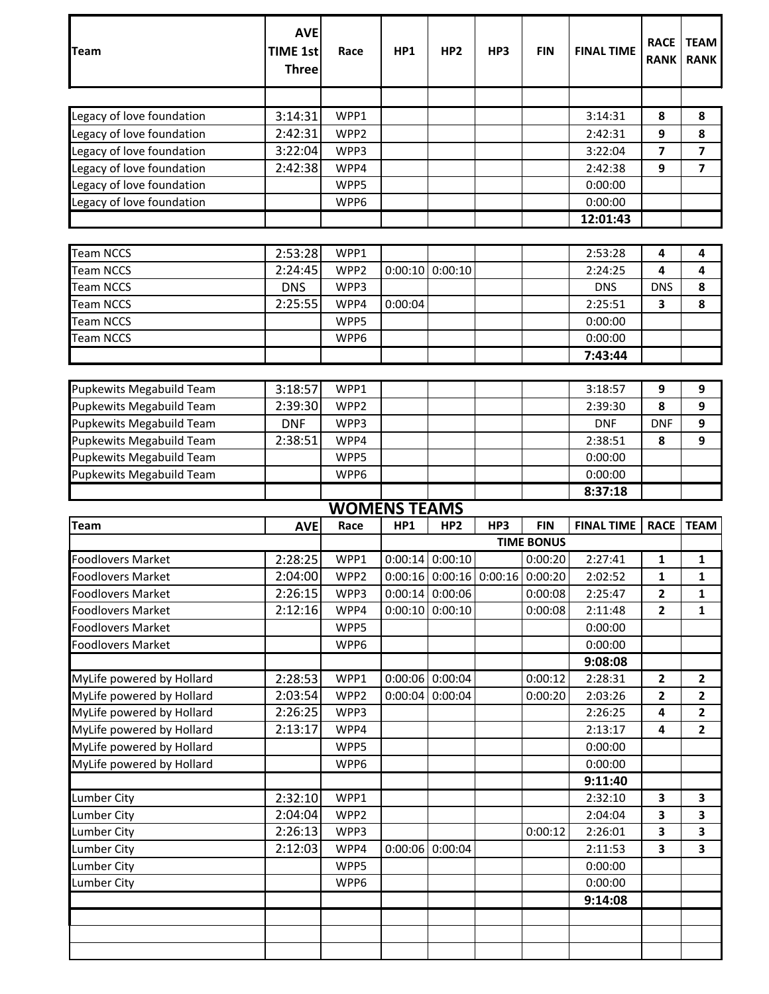| <b>Team</b>               | <b>AVE</b><br><b>TIME 1st</b><br><b>Three</b> | Race                | HP1     | HP <sub>2</sub>                         | HP3 | <b>FIN</b>                      | <b>FINAL TIME</b> | <b>RACE</b><br><b>RANK</b> | <b>TEAM</b><br><b>RANK</b> |
|---------------------------|-----------------------------------------------|---------------------|---------|-----------------------------------------|-----|---------------------------------|-------------------|----------------------------|----------------------------|
|                           |                                               |                     |         |                                         |     |                                 |                   |                            |                            |
| Legacy of love foundation | 3:14:31                                       | WPP1                |         |                                         |     |                                 | 3:14:31           | 8                          | 8                          |
| Legacy of love foundation | 2:42:31                                       | WPP <sub>2</sub>    |         |                                         |     |                                 | 2:42:31           | 9                          | 8                          |
| Legacy of love foundation | 3:22:04                                       | WPP3                |         |                                         |     |                                 | 3:22:04           | 7                          | 7                          |
| Legacy of love foundation | 2:42:38                                       | WPP4                |         |                                         |     |                                 | 2:42:38           | 9                          | $\overline{\mathbf{z}}$    |
| Legacy of love foundation |                                               | WPP5                |         |                                         |     |                                 | 0:00:00           |                            |                            |
| Legacy of love foundation |                                               | WPP6                |         |                                         |     |                                 | 0:00:00           |                            |                            |
|                           |                                               |                     |         |                                         |     |                                 | 12:01:43          |                            |                            |
|                           |                                               |                     |         |                                         |     |                                 |                   |                            |                            |
| <b>Team NCCS</b>          | 2:53:28                                       | WPP1                |         |                                         |     |                                 | 2:53:28           | 4                          | 4                          |
| <b>Team NCCS</b>          | 2:24:45                                       | WPP <sub>2</sub>    | 0:00:10 | 0:00:10                                 |     |                                 | 2:24:25           | 4                          | 4                          |
| <b>Team NCCS</b>          | <b>DNS</b>                                    | WPP3                |         |                                         |     |                                 | <b>DNS</b>        | <b>DNS</b>                 | 8                          |
| <b>Team NCCS</b>          | 2:25:55                                       | WPP4                | 0:00:04 |                                         |     |                                 | 2:25:51           | 3                          | 8                          |
| <b>Team NCCS</b>          |                                               | WPP5                |         |                                         |     |                                 | 0:00:00           |                            |                            |
| <b>Team NCCS</b>          |                                               | WPP6                |         |                                         |     |                                 | 0:00:00           |                            |                            |
|                           |                                               |                     |         |                                         |     |                                 | 7:43:44           |                            |                            |
|                           |                                               |                     |         |                                         |     |                                 |                   |                            |                            |
| Pupkewits Megabuild Team  | 3:18:57                                       | WPP1                |         |                                         |     |                                 | 3:18:57           | 9                          | 9                          |
| Pupkewits Megabuild Team  | 2:39:30                                       | WPP <sub>2</sub>    |         |                                         |     |                                 | 2:39:30           | 8                          | 9                          |
| Pupkewits Megabuild Team  | <b>DNF</b>                                    | WPP3                |         |                                         |     |                                 | <b>DNF</b>        | <b>DNF</b>                 | 9                          |
| Pupkewits Megabuild Team  | 2:38:51                                       | WPP4                |         |                                         |     |                                 | 2:38:51           | 8                          | 9                          |
| Pupkewits Megabuild Team  |                                               | WPP5                |         |                                         |     |                                 | 0:00:00           |                            |                            |
| Pupkewits Megabuild Team  |                                               | WPP6                |         |                                         |     |                                 | 0:00:00           |                            |                            |
|                           |                                               |                     |         |                                         |     |                                 | 8:37:18           |                            |                            |
|                           |                                               | <b>WOMENS TEAMS</b> |         |                                         |     |                                 |                   |                            |                            |
| <b>Team</b>               | <b>AVE</b>                                    | Race                | HP1     | HP <sub>2</sub>                         | HP3 | <b>FIN</b><br><b>TIME BONUS</b> | <b>FINAL TIME</b> | <b>RACE</b>                | <b>TEAM</b>                |
| Foodlovers Market         | 2:28:25                                       | WPP1                |         | $0:00:14$ 0:00:10                       |     | 0:00:20                         | 2:27:41           | 1                          | 1                          |
| Foodlovers Market         | 2:04:00                                       | WPP2                |         | $0:00:16$ $0:00:16$ $0:00:16$ $0:00:20$ |     |                                 | 2:02:52           | 1                          | $\mathbf{1}$               |
| <b>Foodlovers Market</b>  | 2:26:15                                       | WPP3                |         | $0:00:14$ 0:00:06                       |     | 0:00:08                         | 2:25:47           | $\overline{\mathbf{2}}$    | $\mathbf{1}$               |
| <b>Foodlovers Market</b>  | 2:12:16                                       | WPP4                | 0:00:10 | 0:00:10                                 |     | 0:00:08                         | 2:11:48           | $\mathbf{2}$               | 1                          |
| <b>Foodlovers Market</b>  |                                               | WPP5                |         |                                         |     |                                 | 0:00:00           |                            |                            |
| <b>Foodlovers Market</b>  |                                               | WPP6                |         |                                         |     |                                 | 0:00:00           |                            |                            |
|                           |                                               |                     |         |                                         |     |                                 | 9:08:08           |                            |                            |
| MyLife powered by Hollard | 2:28:53                                       | WPP1                |         | $0:00:06$ 0:00:04                       |     | 0:00:12                         | 2:28:31           | $\mathbf{2}$               | $\mathbf{2}$               |
| MyLife powered by Hollard | 2:03:54                                       | WPP2                | 0:00:04 | 0:00:04                                 |     | 0:00:20                         | 2:03:26           | $\mathbf{2}$               | $\mathbf{2}$               |
| MyLife powered by Hollard | 2:26:25                                       | WPP3                |         |                                         |     |                                 | 2:26:25           | 4                          | $\overline{2}$             |
| MyLife powered by Hollard | 2:13:17                                       | WPP4                |         |                                         |     |                                 | 2:13:17           | 4                          | $\mathbf{2}$               |
| MyLife powered by Hollard |                                               | WPP5                |         |                                         |     |                                 | 0:00:00           |                            |                            |
| MyLife powered by Hollard |                                               | WPP6                |         |                                         |     |                                 | 0:00:00           |                            |                            |
|                           |                                               |                     |         |                                         |     |                                 | 9:11:40           |                            |                            |
| <b>Lumber City</b>        | 2:32:10                                       | WPP1                |         |                                         |     |                                 | 2:32:10           | 3                          | 3                          |
| <b>Lumber City</b>        | 2:04:04                                       | WPP <sub>2</sub>    |         |                                         |     |                                 | 2:04:04           | 3                          | 3                          |
| <b>Lumber City</b>        | 2:26:13                                       | WPP3                |         |                                         |     | 0:00:12                         | 2:26:01           | 3                          | 3                          |
| <b>Lumber City</b>        | 2:12:03                                       | WPP4                | 0:00:06 | 0:00:04                                 |     |                                 | 2:11:53           | 3                          | 3                          |
| Lumber City               |                                               | WPP5                |         |                                         |     |                                 | 0:00:00           |                            |                            |
| <b>Lumber City</b>        |                                               | WPP6                |         |                                         |     |                                 | 0:00:00           |                            |                            |
|                           |                                               |                     |         |                                         |     |                                 | 9:14:08           |                            |                            |
|                           |                                               |                     |         |                                         |     |                                 |                   |                            |                            |
|                           |                                               |                     |         |                                         |     |                                 |                   |                            |                            |
|                           |                                               |                     |         |                                         |     |                                 |                   |                            |                            |